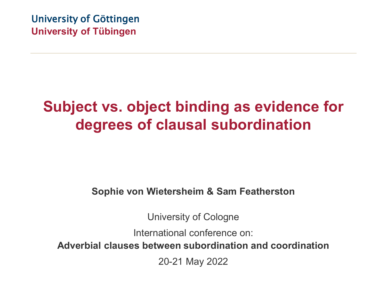University of Göttingen **University of Tübingen**

### **Subject vs. object binding as evidence for degrees of clausal subordination**

#### **Sophie von Wietersheim & Sam Featherston**

University of Cologne

International conference on:

**Adverbial clauses between subordination and coordination**

20-21 May 2022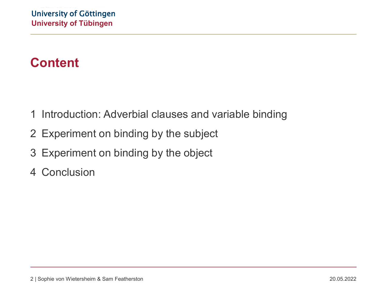### **Content**

- 1 Introduction: Adverbial clauses and variable binding
- 2 Experiment on binding by the subject
- 3 Experiment on binding by the object
- 4 Conclusion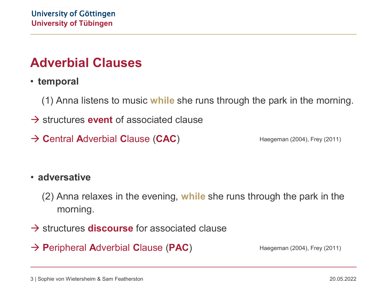#### **Adverbial Clauses**

• **temporal**

(1) Anna listens to music **while** she runs through the park in the morning.

- structures **event** of associated clause
- $\rightarrow$  **Central Adverbial Clause (CAC)**

Haegeman (2004), Frey (2011)

#### • **adversative**

(2) Anna relaxes in the evening, **while** she runs through the park in the morning.

- $\rightarrow$  structures **discourse** for associated clause
- → **Peripheral Adverbial Clause (PAC)**

Haegeman (2004), Frey (2011)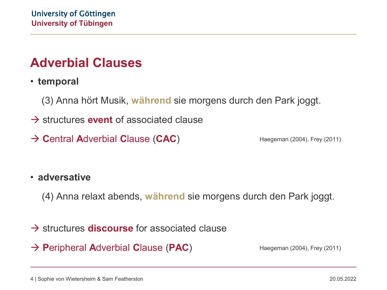#### **Adverbial Clauses**

• **temporal**

(3) Anna hört Musik, **während** sie morgens durch den Park joggt.

- structures **event** of associated clause
- **C**entral **A**dverbial **C**lause (**CAC**)

Haegeman (2004), Frey (2011)

#### • **adversative**

(4) Anna relaxt abends, **während** sie morgens durch den Park joggt.

- $\rightarrow$  structures **discourse** for associated clause
- **P**eripheral **A**dverbial **C**lause (**PAC**)

Haegeman (2004), Frey (2011)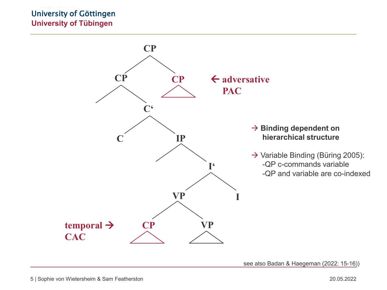#### University of Göttingen **University of Tübingen**



see also Badan & Haegeman (2022: 15-16))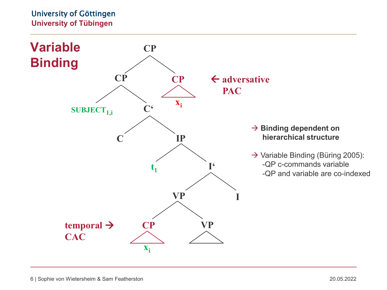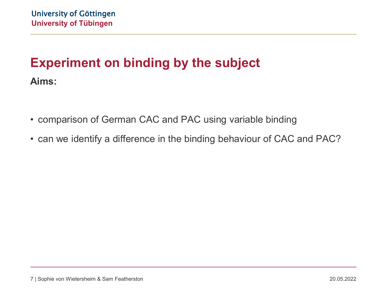- comparison of German CAC and PAC using variable binding
- can we identify a difference in the binding behaviour of CAC and PAC?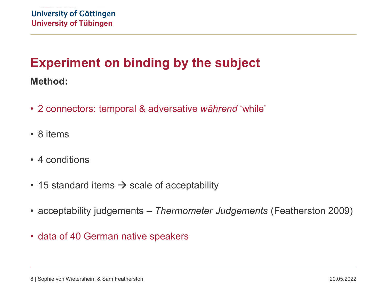#### **Method:**

- 2 connectors: temporal & adversative *während* 'while'
- 8 items
- 4 conditions
- 15 standard items  $\rightarrow$  scale of acceptability
- acceptability judgements *Thermometer Judgements* (Featherston 2009)
- data of 40 German native speakers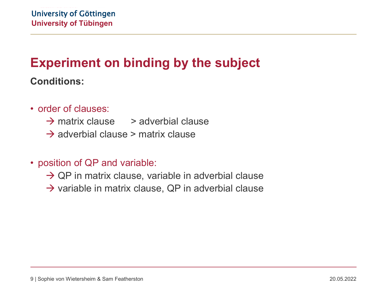**Conditions:**

- order of clauses:
	- $\rightarrow$  matrix clause  $\rightarrow$  adverbial clause
	- $\rightarrow$  adverbial clause > matrix clause
- position of QP and variable:
	- $\rightarrow$  QP in matrix clause, variable in adverbial clause
	- $\rightarrow$  variable in matrix clause, QP in adverbial clause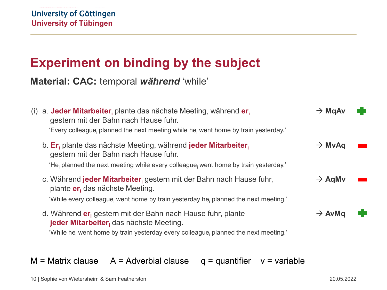**Material: CAC:** temporal *während* 'while'

| (i) | a. Jeder Mitarbeiter, plante das nächste Meeting, während er<br>gestern mit der Bahn nach Hause fuhr.<br>'Every colleague, planned the next meeting while he, went home by train yesterday.'              | $\rightarrow$ MgAv |  |
|-----|-----------------------------------------------------------------------------------------------------------------------------------------------------------------------------------------------------------|--------------------|--|
|     | b. Er <sub>i</sub> plante das nächste Meeting, während jeder Mitarbeiter,<br>gestern mit der Bahn nach Hause fuhr.<br>'He, planned the next meeting while every colleague, went home by train yesterday.' | $\rightarrow$ MvAq |  |
|     | c. Während <b>jeder Mitarbeiter</b> , gestern mit der Bahn nach Hause fuhr,<br>plante er das nächste Meeting.<br>'While every colleague, went home by train yesterday he, planned the next meeting.'      | $\rightarrow$ AgMv |  |
|     | d. Während er gestern mit der Bahn nach Hause fuhr, plante<br>jeder Mitarbeiter, das nächste Meeting.<br>'While he, went home by train yesterday every colleague, planned the next meeting.'              | $\rightarrow$ AvMq |  |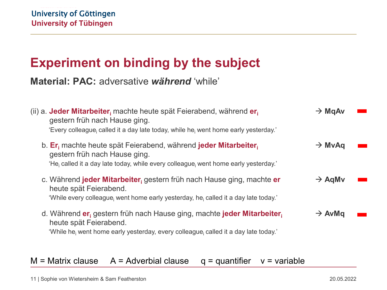**Material: PAC:** adversative *während* 'while'

| (ii) a. Jeder Mitarbeiter, machte heute spät Feierabend, während er,<br>gestern früh nach Hause ging.<br>'Every colleague, called it a day late today, while he, went home early yesterday.'        | $\rightarrow$ MgAv |  |
|-----------------------------------------------------------------------------------------------------------------------------------------------------------------------------------------------------|--------------------|--|
| b. Er <sub>i</sub> machte heute spät Feierabend, während jeder Mitarbeiter.<br>gestern früh nach Hause ging.<br>'He, called it a day late today, while every colleague, went home early yesterday.' | $\rightarrow$ MvAq |  |
| c. Während jeder Mitarbeiter, gestern früh nach Hause ging, machte er<br>heute spät Feierabend.<br>'While every colleague, went home early yesterday, he, called it a day late today.'              | $\rightarrow$ AgMv |  |
| d. Während er gestern früh nach Hause ging, machte jeder Mitarbeiter<br>heute spät Feierabend.<br>'While he, went home early yesterday, every colleague, called it a day late today.'               | $\rightarrow$ AvMq |  |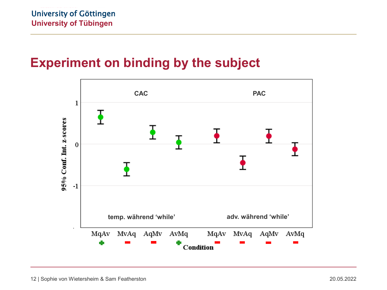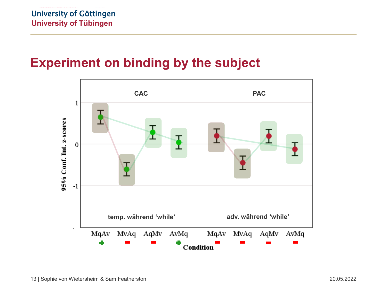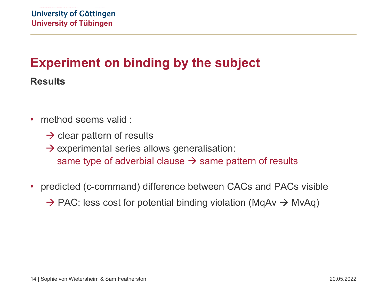**Results**

- method seems valid :
	- $\rightarrow$  clear pattern of results
	- $\rightarrow$  experimental series allows generalisation: same type of adverbial clause  $\rightarrow$  same pattern of results
- predicted (c-command) difference between CACs and PACs visible

 $\rightarrow$  PAC: less cost for potential binding violation (MqAv  $\rightarrow$  MvAq)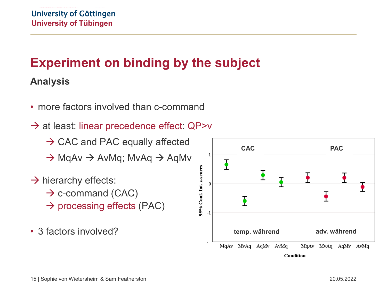### **Experiment on binding by the subject Analysis**

- more factors involved than c-command
- $\rightarrow$  at least: linear precedence effect: QP>v
	- $\rightarrow$  CAC and PAC equally affected
	- $\rightarrow$  MqAv  $\rightarrow$  AvMq; MvAq  $\rightarrow$  AqMv
- $\rightarrow$  hierarchy effects:
	- $\rightarrow$  c-command (CAC)
	- $\rightarrow$  processing effects (PAC)
- 3 factors involved?

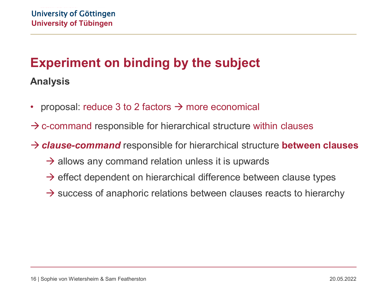### **Experiment on binding by the subject Analysis**

- proposal: reduce 3 to 2 factors  $\rightarrow$  more economical
- $\rightarrow$  c-command responsible for hierarchical structure within clauses
- *clause-command* responsible for hierarchical structure **between clauses**
	- $\rightarrow$  allows any command relation unless it is upwards
	- $\rightarrow$  effect dependent on hierarchical difference between clause types
	- $\rightarrow$  success of anaphoric relations between clauses reacts to hierarchy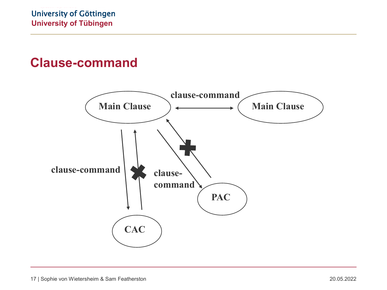#### **Clause-command**

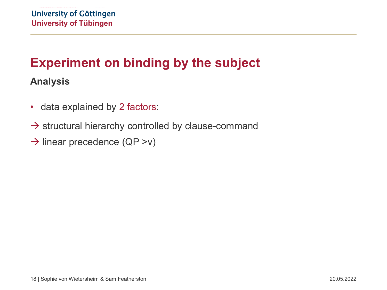### **Experiment on binding by the subject Analysis**

- data explained by 2 factors:
- $\rightarrow$  structural hierarchy controlled by clause-command
- $\rightarrow$  linear precedence (QP >v)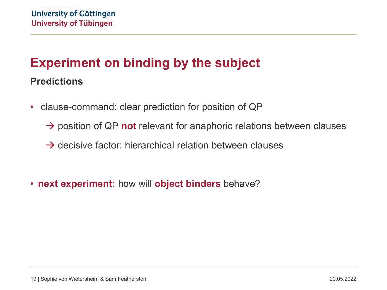### **Experiment on binding by the subject Predictions**

- clause-command: clear prediction for position of QP
	- $\rightarrow$  position of QP **not** relevant for anaphoric relations between clauses
	- $\rightarrow$  decisive factor: hierarchical relation between clauses
- **next experiment:** how will **object binders** behave?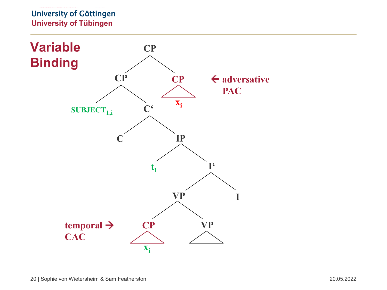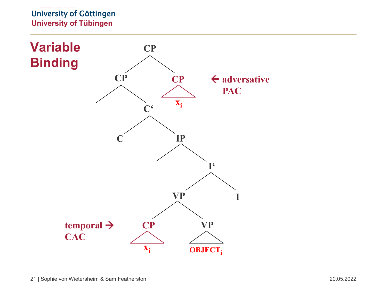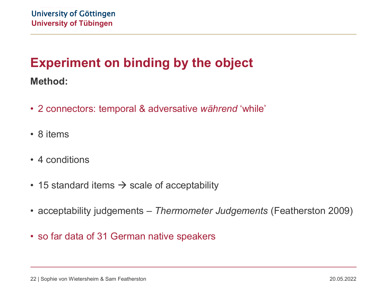#### **Method:**

- 2 connectors: temporal & adversative *während* 'while'
- 8 items
- 4 conditions
- 15 standard items  $\rightarrow$  scale of acceptability
- acceptability judgements *Thermometer Judgements* (Featherston 2009)
- so far data of 31 German native speakers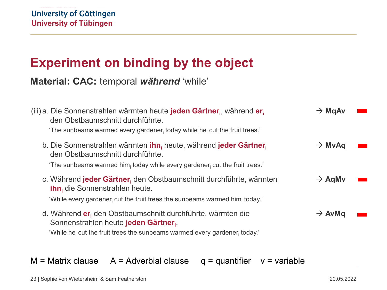**Material: CAC:** temporal *während* 'while'

| (iii) a. Die Sonnenstrahlen wärmten heute jeden Gärtner, während er<br>den Obstbaumschnitt durchführte.<br>'The sunbeams warmed every gardener today while he cut the fruit trees.'                     | $\rightarrow$ MgAv |  |
|---------------------------------------------------------------------------------------------------------------------------------------------------------------------------------------------------------|--------------------|--|
| b. Die Sonnenstrahlen wärmten ihn, heute, während jeder Gärtner,<br>den Obstbaumschnitt durchführte.<br>'The sunbeams warmed him; today while every gardener; cut the fruit trees.'                     | $\rightarrow$ MvAq |  |
| c. Während jeder Gärtner, den Obstbaumschnitt durchführte, wärmten<br><b>ihn</b> , die Sonnenstrahlen heute.<br>'While every gardener, cut the fruit trees the sunbeams warmed him, today.'             | $\rightarrow$ AgMv |  |
| d. Während er den Obstbaumschnitt durchführte, wärmten die<br>Sonnenstrahlen heute jeden Gärtner.<br>'While he <sub>i</sub> cut the fruit trees the sunbeams warmed every gardener <sub>i</sub> today.' | $\rightarrow$ AvMq |  |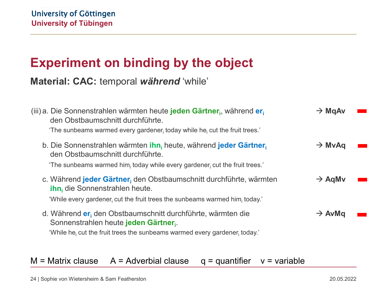**Material: CAC:** temporal *während* 'while'

| (iii) a. Die Sonnenstrahlen wärmten heute jeden Gärtner, während er<br>den Obstbaumschnitt durchführte.<br>'The sunbeams warmed every gardener today while he cut the fruit trees.'                     | $\rightarrow$ MgAv |  |
|---------------------------------------------------------------------------------------------------------------------------------------------------------------------------------------------------------|--------------------|--|
| b. Die Sonnenstrahlen wärmten <i>ihn</i> , heute, während jeder Gärtner,<br>den Obstbaumschnitt durchführte.<br>'The sunbeams warmed him, today while every gardener, cut the fruit trees.'             | $\rightarrow$ MvAq |  |
| c. Während jeder Gärtner, den Obstbaumschnitt durchführte, wärmten<br><b>ihn</b> , die Sonnenstrahlen heute.<br>'While every gardener; cut the fruit trees the sunbeams warmed him; today.'             | $\rightarrow$ AgMv |  |
| d. Während er den Obstbaumschnitt durchführte, wärmten die<br>Sonnenstrahlen heute jeden Gärtner.<br>'While he <sub>i</sub> cut the fruit trees the sunbeams warmed every gardener <sub>i</sub> today.' | $\rightarrow$ AvMq |  |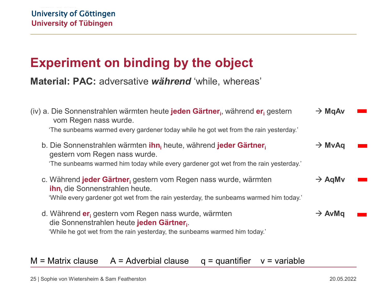**Material: PAC:** adversative *während* 'while, whereas'

| (iv) a. Die Sonnenstrahlen wärmten heute jeden Gärtner, während er gestern<br>vom Regen nass wurde.<br>'The sunbeams warmed every gardener today while he got wet from the rain yesterday.'         | $\rightarrow$ MgAv |  |
|-----------------------------------------------------------------------------------------------------------------------------------------------------------------------------------------------------|--------------------|--|
| b. Die Sonnenstrahlen wärmten ihn, heute, während jeder Gärtner,<br>gestern vom Regen nass wurde.<br>'The sunbeams warmed him today while every gardener got wet from the rain yesterday.'          | $\rightarrow$ MvAq |  |
| c. Während jeder Gärtner, gestern vom Regen nass wurde, wärmten<br><b>ihn</b> , die Sonnenstrahlen heute.<br>'While every gardener got wet from the rain yesterday, the sunbeams warmed him today.' | $\rightarrow$ AgMv |  |
| d. Während er gestern vom Regen nass wurde, wärmten<br>die Sonnenstrahlen heute jeden Gärtner.<br>'While he got wet from the rain yesterday, the sunbeams warmed him today.'                        | $\rightarrow$ AvMq |  |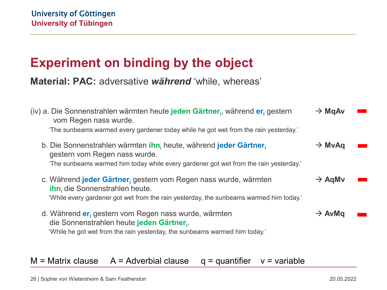**Material: PAC:** adversative *während* 'while, whereas'

| (iv) a. Die Sonnenstrahlen wärmten heute jeden Gärtner, während er gestern<br>vom Regen nass wurde.<br>'The sunbeams warmed every gardener today while he got wet from the rain yesterday.'                        | $\rightarrow$ MgAv |  |
|--------------------------------------------------------------------------------------------------------------------------------------------------------------------------------------------------------------------|--------------------|--|
| b. Die Sonnenstrahlen wärmten ihn <sub>i</sub> heute, während jeder Gärtner <sub>i</sub><br>gestern vom Regen nass wurde.<br>'The sunbeams warmed him today while every gardener got wet from the rain yesterday.' | $\rightarrow$ MvAq |  |
| c. Während jeder Gärtner, gestern vom Regen nass wurde, wärmten<br><b>ihn</b> , die Sonnenstrahlen heute.<br>'While every gardener got wet from the rain yesterday, the sunbeams warmed him today.'                | $\rightarrow$ AgMv |  |
| d. Während er gestern vom Regen nass wurde, wärmten<br>die Sonnenstrahlen heute jeden Gärtner.<br>'While he got wet from the rain yesterday, the sunbeams warmed him today.'                                       | $\rightarrow$ AvMq |  |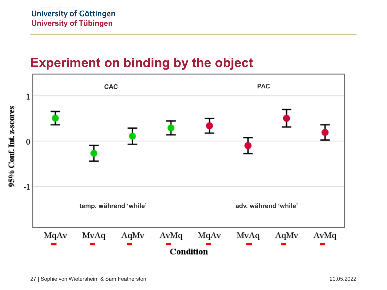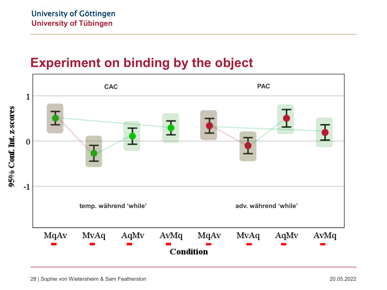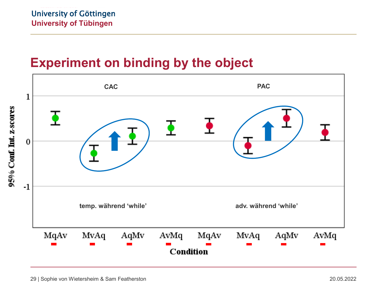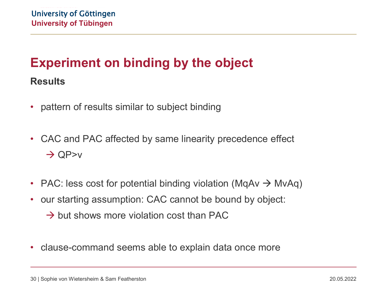#### **Results**

- pattern of results similar to subject binding
- CAC and PAC affected by same linearity precedence effect  $\rightarrow$  QP>v
- PAC: less cost for potential binding violation (MqAv  $\rightarrow$  MvAq)
- our starting assumption: CAC cannot be bound by object:
	- $\rightarrow$  but shows more violation cost than PAC
- clause-command seems able to explain data once more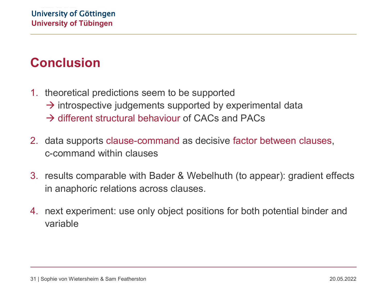#### **Conclusion**

- 1. theoretical predictions seem to be supported
	- $\rightarrow$  introspective judgements supported by experimental data
	- $\rightarrow$  different structural behaviour of CACs and PACs
- 2. data supports clause-command as decisive factor between clauses, c-command within clauses
- 3. results comparable with Bader & Webelhuth (to appear): gradient effects in anaphoric relations across clauses.
- 4. next experiment: use only object positions for both potential binder and variable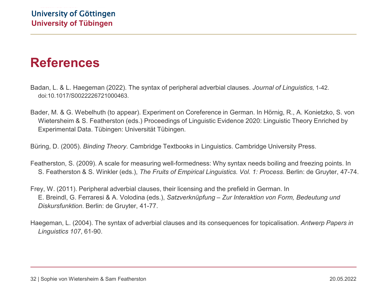#### **References**

- Badan, L. & L. Haegeman (2022). The syntax of peripheral adverbial clauses. *Journal of Linguistics,* 1-42. doi:10.1017/S0022226721000463.
- Bader, M. & G. Webelhuth (to appear). Experiment on Coreference in German. In Hörnig, R., A. Konietzko, S. von Wietersheim & S. Featherston (eds.) Proceedings of Linguistic Evidence 2020: Linguistic Theory Enriched by Experimental Data. Tübingen: Universität Tübingen.

Büring, D. (2005). *Binding Theory*. Cambridge Textbooks in Linguistics. Cambridge University Press.

- Featherston, S. (2009). A scale for measuring well-formedness: Why syntax needs boiling and freezing points. In S. Featherston & S. Winkler (eds.), *The Fruits of Empirical Linguistics. Vol. 1: Process*. Berlin: de Gruyter, 47-74.
- Frey, W. (2011). Peripheral adverbial clauses, their licensing and the prefield in German. In E. Breindl, G. Ferraresi & A. Volodina (eds.), *Satzverknüpfung – Zur Interaktion von Form, Bedeutung und Diskursfunktion*. Berlin: de Gruyter, 41-77.
- Haegeman, L. (2004). The syntax of adverbial clauses and its consequences for topicalisation. *Antwerp Papers in Linguistics 107*, 61-90.